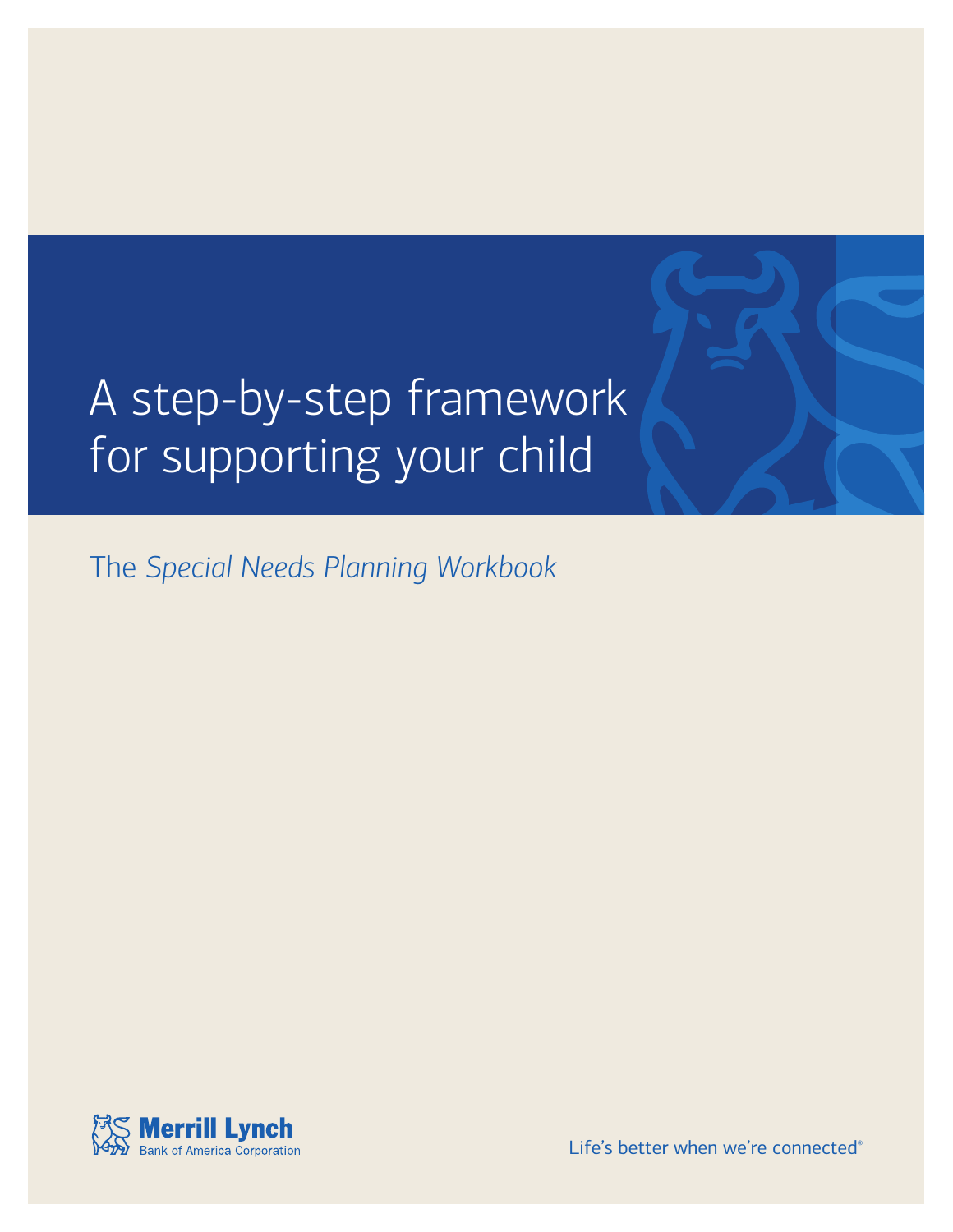# A step-by-step framework for supporting your child

The *Special Needs Planning Workbook*



Life's better when we're connected®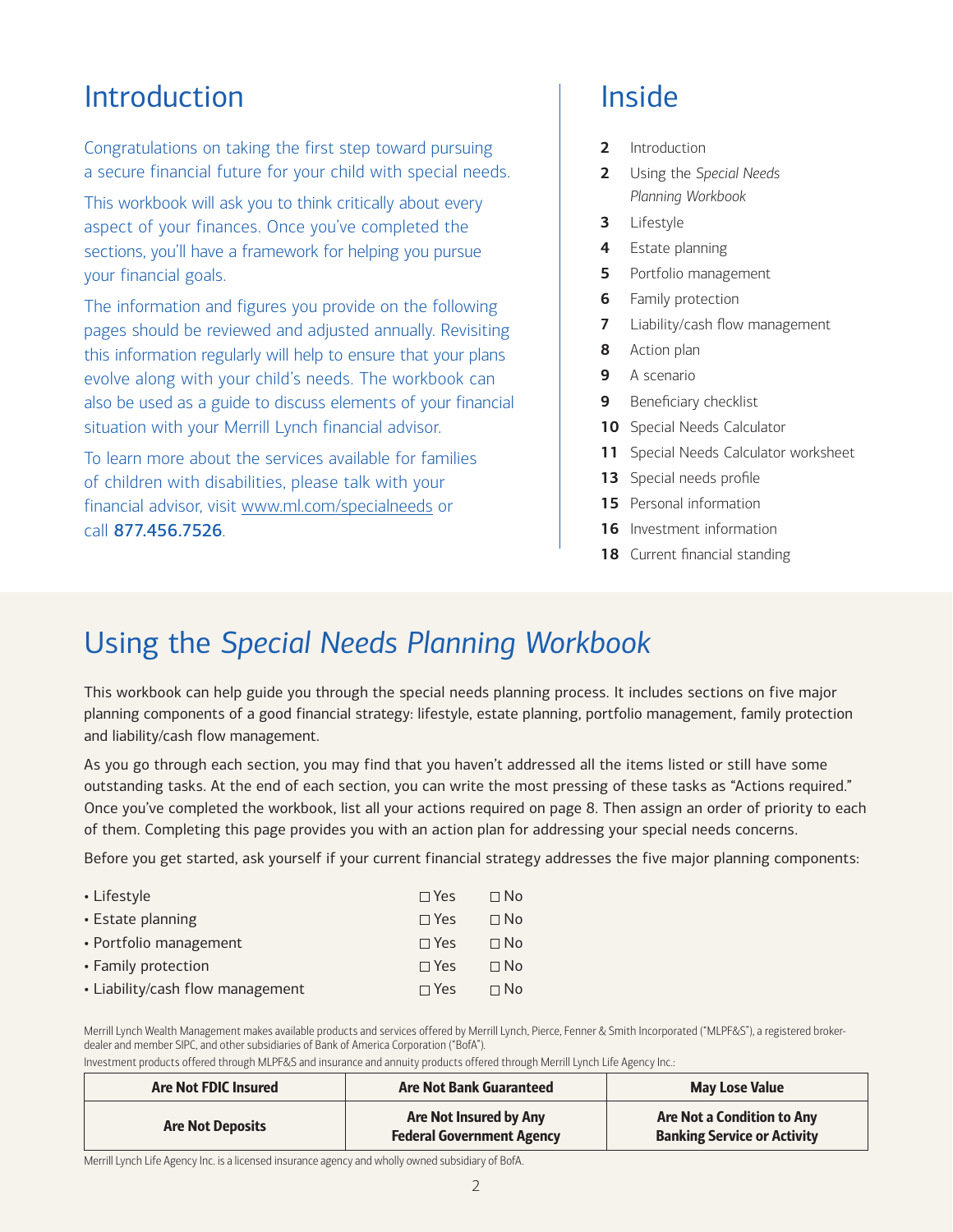### Introduction

Congratulations on taking the first step toward pursuing a secure financial future for your child with special needs.

This workbook will ask you to think critically about every aspect of your finances. Once you've completed the sections, you'll have a framework for helping you pursue your financial goals.

The information and figures you provide on the following pages should be reviewed and adjusted annually. Revisiting this information regularly will help to ensure that your plans evolve along with your child's needs. The workbook can also be used as a guide to discuss elements of your financial situation with your Merrill Lynch financial advisor.

To learn more about the services available for families of children with disabilities, please talk with your financial advisor, visit [www.ml.com/specialneeds](http://www.ml.com/specialneeds) or call 877.456.7526.

### Inside

- **2** Introduction
- **2** Using the *Special Needs Planning Workbook*
- **3** [Lifestyle](#page-2-0)
- **4** [Estate planning](#page-3-0)
- **5** [Portfolio management](#page-4-0)
- **6** [Family protection](#page-5-0)
- **7** [Liability/cash flow management](#page-6-0)
- **8** [Action plan](#page-7-0)
- **9** [A scenario](#page-8-0)
- **9** [Beneficiary checklist](#page-8-0)
- **10** [Special Needs Calculator](#page-9-0)
- **11** [Special Needs Calculator worksheet](#page-10-0)
- **13** [Special needs profile](#page-12-0)
- **15** [Personal information](#page-14-0)
- **16** [Investment information](#page-15-0)
- 18 [Current financial standing](#page-17-0)

### Using the *Special Needs Planning Workbook*

This workbook can help guide you through the special needs planning process. It includes sections on five major planning components of a good financial strategy: lifestyle, estate planning, portfolio management, family protection and liability/cash flow management.

As you go through each section, you may find that you haven't addressed all the items listed or still have some outstanding tasks. At the end of each section, you can write the most pressing of these tasks as "Actions required." Once you've completed the workbook, list all your actions required on [page 8.](#page-7-0) Then assign an order of priority to each of them. Completing this page provides you with an action plan for addressing your special needs concerns.

Before you get started, ask yourself if your current financial strategy addresses the five major planning components:

| • Lifestyle                      | $\Box$ Yes | $\Box$ No |
|----------------------------------|------------|-----------|
| • Estate planning                | $\Box$ Yes | $\Box$ No |
| • Portfolio management           | $\Box$ Yes | $\Box$ No |
| • Family protection              | $\Box$ Yes | $\Box$ No |
| • Liability/cash flow management | $\Box$ Yes | $\Box$ No |

Merrill Lynch Wealth Management makes available products and services offered by Merrill Lynch, Pierce, Fenner & Smith Incorporated ("MLPF&S"), a registered brokerdealer and member SIPC, and other subsidiaries of Bank of America Corporation ("BofA").

Investment products offered through MLPF&S and insurance and annuity products offered through Merrill Lynch Life Agency Inc.:

| <b>Are Not FDIC Insured</b> | <b>Are Not Bank Guaranteed</b>                             | <b>May Lose Value</b>                                                   |
|-----------------------------|------------------------------------------------------------|-------------------------------------------------------------------------|
| <b>Are Not Deposits</b>     | Are Not Insured by Any<br><b>Federal Government Agency</b> | <b>Are Not a Condition to Any</b><br><b>Banking Service or Activity</b> |

Merrill Lynch Life Agency Inc. is a licensed insurance agency and wholly owned subsidiary of BofA.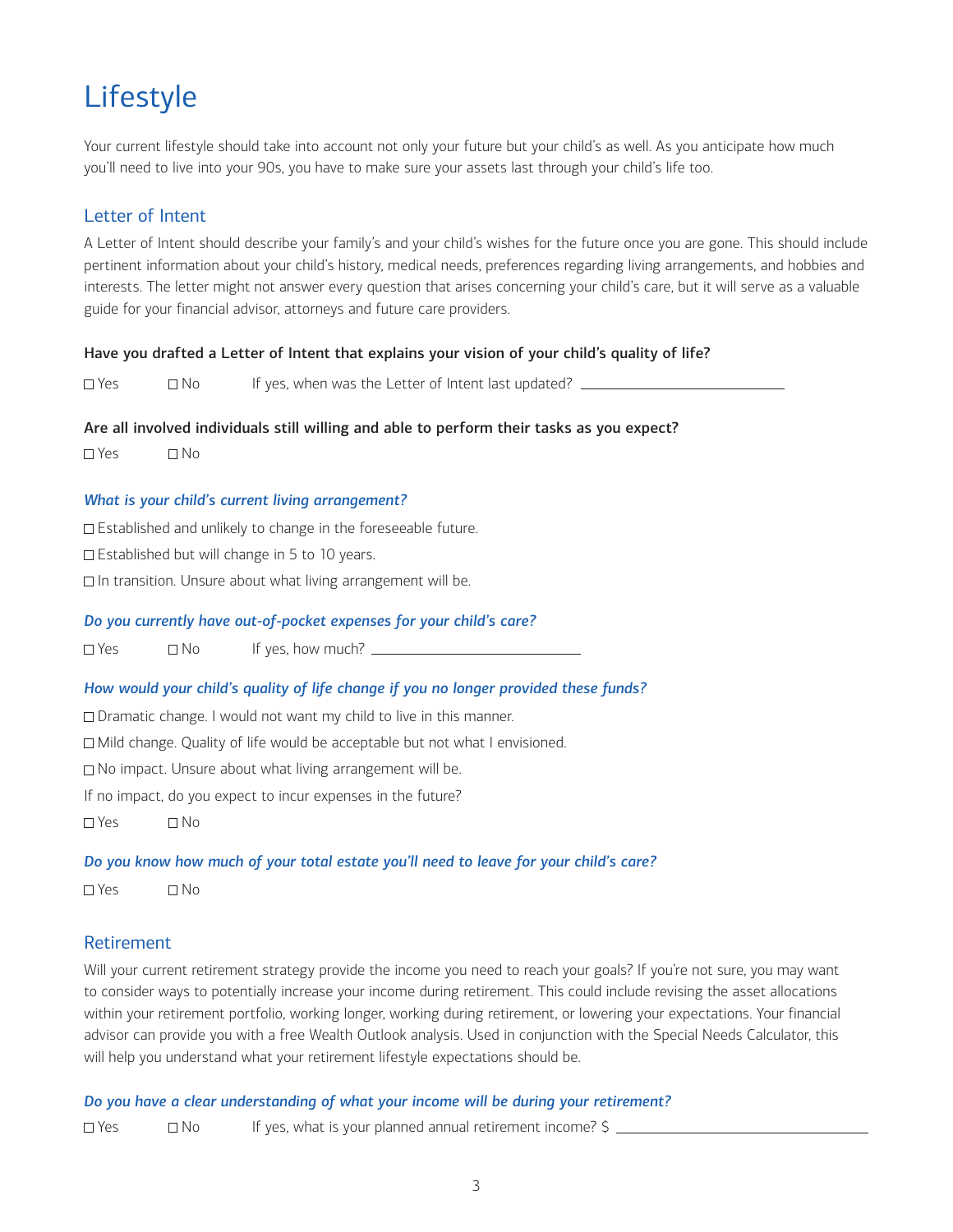### <span id="page-2-0"></span>Lifestyle

Your current lifestyle should take into account not only your future but your child's as well. As you anticipate how much you'll need to live into your 90s, you have to make sure your assets last through your child's life too.

#### Letter of Intent

A Letter of Intent should describe your family's and your child's wishes for the future once you are gone. This should include pertinent information about your child's history, medical needs, preferences regarding living arrangements, and hobbies and interests. The letter might not answer every question that arises concerning your child's care, but it will serve as a valuable guide for your financial advisor, attorneys and future care providers.

#### Have you drafted a Letter of Intent that explains your vision of your child's quality of life?

 $\Box$  Yes  $\Box$  No If yes, when was the Letter of Intent last updated?  $\Box$ 

#### Are all involved individuals still willing and able to perform their tasks as you expect?

 $\Box$  Yes  $\Box$  No

#### *What is your child's current living arrangement?*

□ Established and unlikely to change in the foreseeable future.

□ Established but will change in 5 to 10 years.

 $\Box$  In transition. Unsure about what living arrangement will be.

#### *Do you currently have out-of-pocket expenses for your child's care?*

 $\Box$  Yes  $\Box$  No If yes, how much?  $\Box$ 

#### *How would your child's quality of life change if you no longer provided these funds?*

□ Dramatic change. I would not want my child to live in this manner.

□ Mild change. Quality of life would be acceptable but not what I envisioned.

□ No impact. Unsure about what living arrangement will be.

If no impact, do you expect to incur expenses in the future?

 $\Box$  Yes  $\Box$  No

#### *Do you know how much of your total estate you'll need to leave for your child's care?*

 $\Box$  Yes  $\Box$  No

#### Retirement

Will your current retirement strategy provide the income you need to reach your goals? If you're not sure, you may want to consider ways to potentially increase your income during retirement. This could include revising the asset allocations within your retirement portfolio, working longer, working during retirement, or lowering your expectations. Your financial advisor can provide you with a free Wealth Outlook analysis. Used in conjunction with the Special Needs Calculator, this will help you understand what your retirement lifestyle expectations should be.

#### *Do you have a clear understanding of what your income will be during your retirement?*

 $\Box$  Yes  $\Box$  No If yes, what is your planned annual retirement income?  $\Diamond$  \_\_\_\_\_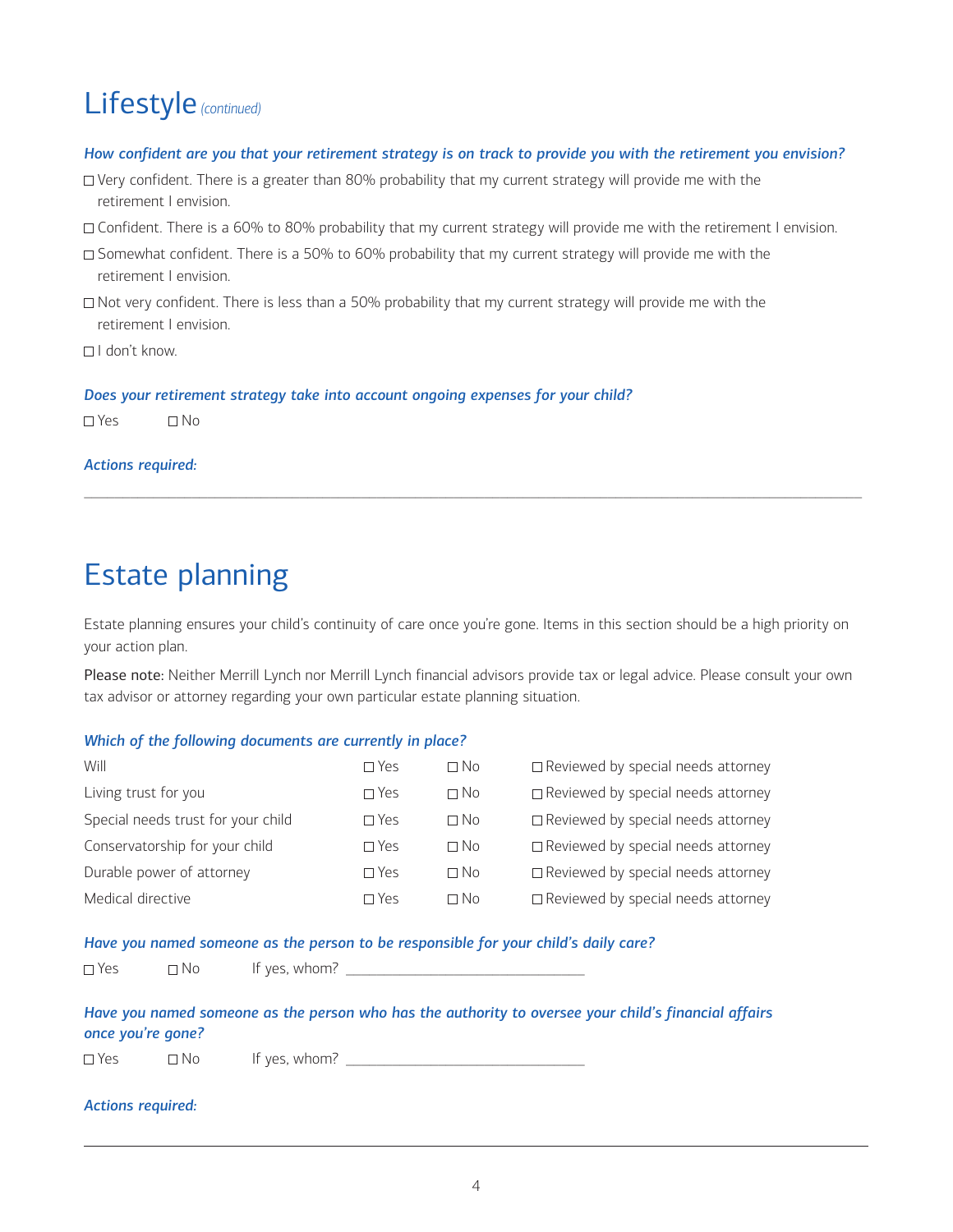### <span id="page-3-0"></span>Lifestyle *(continued)*

#### *How confident are you that your retirement strategy is on track to provide you with the retirement you envision?*

- $\Box$  Very confident. There is a greater than 80% probability that my current strategy will provide me with the retirement I envision.
- □ Confident. There is a 60% to 80% probability that my current strategy will provide me with the retirement I envision.
- $\Box$  Somewhat confident. There is a 50% to 60% probability that my current strategy will provide me with the retirement I envision.
- $\Box$  Not very confident. There is less than a 50% probability that my current strategy will provide me with the retirement I envision.
- $\Box$ I don't know.

*Does your retirement strategy take into account ongoing expenses for your child?*

 $\Box$  Yes  $\Box$  No

#### *Actions required:*

### Estate planning

Estate planning ensures your child's continuity of care once you're gone. Items in this section should be a high priority on your action plan.

\_\_\_\_\_\_\_\_\_\_\_\_\_\_\_\_\_\_\_\_\_\_\_\_\_\_\_\_\_\_\_\_\_\_\_\_\_\_\_\_\_\_\_\_\_\_\_\_\_\_\_\_\_\_\_\_\_\_\_\_\_\_\_\_\_\_\_\_\_\_\_\_\_\_\_\_\_\_\_\_\_\_\_\_\_\_\_\_\_\_\_\_\_\_\_\_\_\_\_\_\_

Please note: Neither Merrill Lynch nor Merrill Lynch financial advisors provide tax or legal advice. Please consult your own tax advisor or attorney regarding your own particular estate planning situation.

#### *Which of the following documents are currently in place?*

| $\Box$ Yes    | $\Box$ No | $\Box$ Reviewed by special needs attorney |
|---------------|-----------|-------------------------------------------|
| $\square$ Yes | $\Box$ No | $\Box$ Reviewed by special needs attorney |
| $\Box$ Yes    | $\Box$ No | $\Box$ Reviewed by special needs attorney |
| $\Box$ Yes    | $\Box$ No | $\Box$ Reviewed by special needs attorney |
| $\square$ Yes | $\Box$ No | $\Box$ Reviewed by special needs attorney |
| $\Box$ Yes    | $\Box$ No | $\Box$ Reviewed by special needs attorney |
|               |           |                                           |

#### *Have you named someone as the person to be responsible for your child's daily care?*

| $\Box$ Yes | $\neg$ No | It yes, whom? |  |
|------------|-----------|---------------|--|
| ___        |           |               |  |

#### *Have you named someone as the person who has the authority to oversee your child's financial affairs once you're gone?*

 $\Box$  Yes  $\Box$  No If yes, whom?

#### *Actions required:*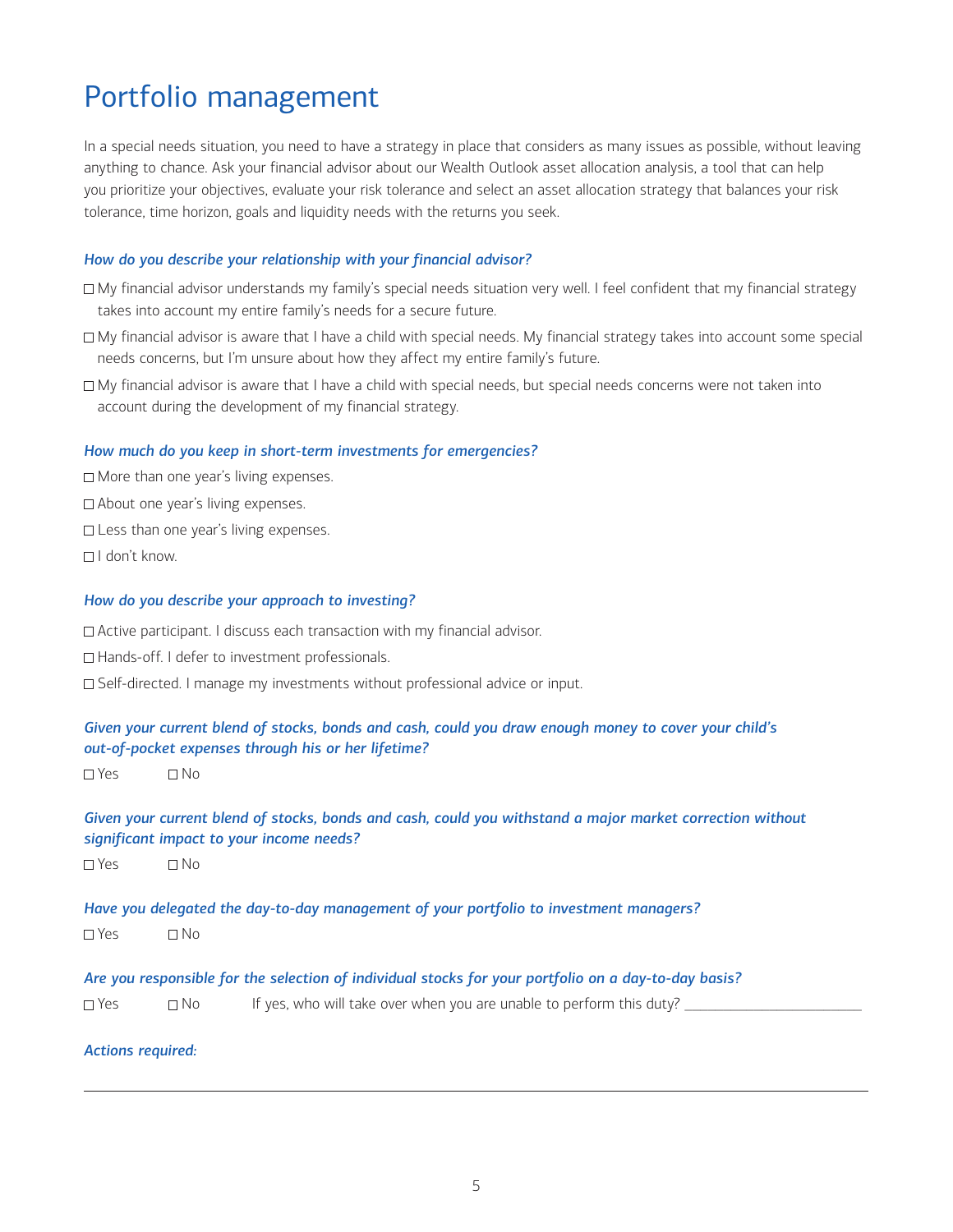### <span id="page-4-0"></span>Portfolio management

In a special needs situation, you need to have a strategy in place that considers as many issues as possible, without leaving anything to chance. Ask your financial advisor about our Wealth Outlook asset allocation analysis, a tool that can help you prioritize your objectives, evaluate your risk tolerance and select an asset allocation strategy that balances your risk tolerance, time horizon, goals and liquidity needs with the returns you seek.

#### *How do you describe your relationship with your financial advisor?*

- My financial advisor understands my family's special needs situation very well. I feel confident that my financial strategy takes into account my entire family's needs for a secure future.
- □ My financial advisor is aware that I have a child with special needs. My financial strategy takes into account some special needs concerns, but I'm unsure about how they affect my entire family's future.
- My financial advisor is aware that I have a child with special needs, but special needs concerns were not taken into account during the development of my financial strategy.

#### *How much do you keep in short-term investments for emergencies?*

□ More than one year's living expenses.

- □ About one year's living expenses.
- □ Less than one year's living expenses.
- $\Box$ I don't know.

#### *How do you describe your approach to investing?*

□ Active participant. I discuss each transaction with my financial advisor.

- □ Hands-off. I defer to investment professionals.
- □ Self-directed. I manage my investments without professional advice or input.

#### *Given your current blend of stocks, bonds and cash, could you draw enough money to cover your child's out-of-pocket expenses through his or her lifetime?*

 $\Box$  Yes  $\Box$  No

#### *Given your current blend of stocks, bonds and cash, could you withstand a major market correction without significant impact to your income needs?*

 $\Box$  Yes  $\Box$  No

#### *Have you delegated the day-to-day management of your portfolio to investment managers?*

 $\Box$  Yes  $\Box$  No

*Are you responsible for the selection of individual stocks for your portfolio on a day-to-day basis?*

| $\Box$ Yes | $\Box$ No | If yes, who will take over when you are unable to perform this duty? |  |
|------------|-----------|----------------------------------------------------------------------|--|
|            |           |                                                                      |  |
|            |           |                                                                      |  |

#### *Actions required:*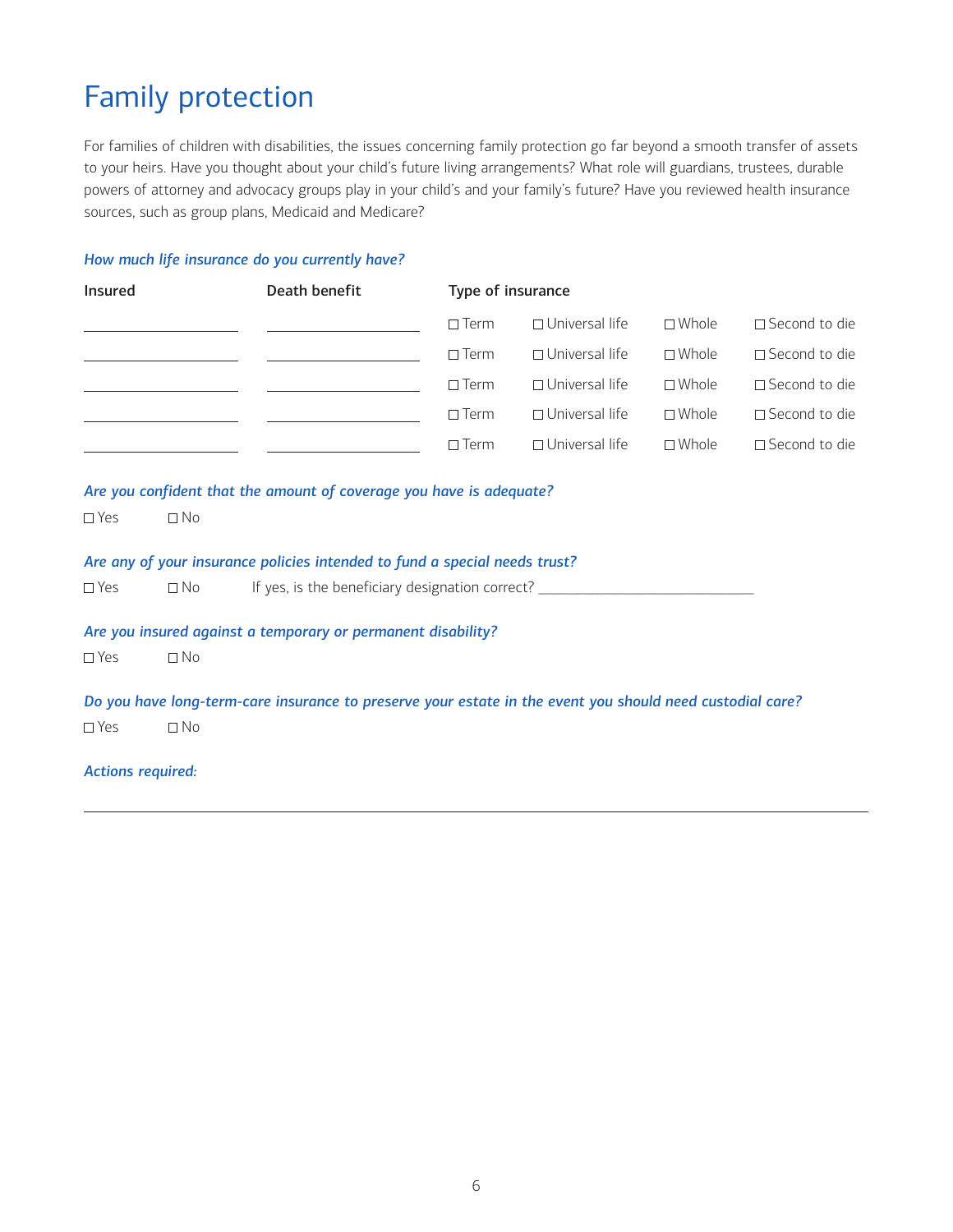### <span id="page-5-0"></span>Family protection

For families of children with disabilities, the issues concerning family protection go far beyond a smooth transfer of assets to your heirs. Have you thought about your child's future living arrangements? What role will guardians, trustees, durable powers of attorney and advocacy groups play in your child's and your family's future? Have you reviewed health insurance sources, such as group plans, Medicaid and Medicare?

#### *How much life insurance do you currently have?*

| Insured                  |                                              | Death benefit                                                                                             | Type of insurance |                       |                 |                         |
|--------------------------|----------------------------------------------|-----------------------------------------------------------------------------------------------------------|-------------------|-----------------------|-----------------|-------------------------|
|                          |                                              |                                                                                                           | $\Box$ Term       | $\Box$ Universal life | $\square$ Whole | $\square$ Second to die |
|                          |                                              | <u> 1989 - Johann John Stone, mars et al. (</u> † 1914)                                                   | $\Box$ Term       | $\Box$ Universal life | $\square$ Whole | □ Second to die         |
|                          | the control of the control of the control of | the company of the company of the company                                                                 | $\Box$ Term       | $\Box$ Universal life | $\square$ Whole | □ Second to die         |
|                          |                                              | <u> The Common State Common State Common</u>                                                              | $\Box$ Term       | □ Universal life      | $\square$ Whole | □ Second to die         |
|                          |                                              |                                                                                                           | $\Box$ Term       | $\Box$ Universal life | $\square$ Whole | □ Second to die         |
| $\square$ Yes            | $\Box$ No                                    | Are you confident that the amount of coverage you have is adequate?                                       |                   |                       |                 |                         |
|                          |                                              | Are any of your insurance policies intended to fund a special needs trust?                                |                   |                       |                 |                         |
| $\square$ Yes            | $\Box$ No                                    | If yes, is the beneficiary designation correct?                                                           |                   |                       |                 |                         |
|                          |                                              | Are you insured against a temporary or permanent disability?                                              |                   |                       |                 |                         |
| $\square$ Yes            | $\Box$ No                                    |                                                                                                           |                   |                       |                 |                         |
|                          |                                              | Do you have long-term-care insurance to preserve your estate in the event you should need custodial care? |                   |                       |                 |                         |
| $\square$ Yes            | $\Box$ No                                    |                                                                                                           |                   |                       |                 |                         |
| <b>Actions required:</b> |                                              |                                                                                                           |                   |                       |                 |                         |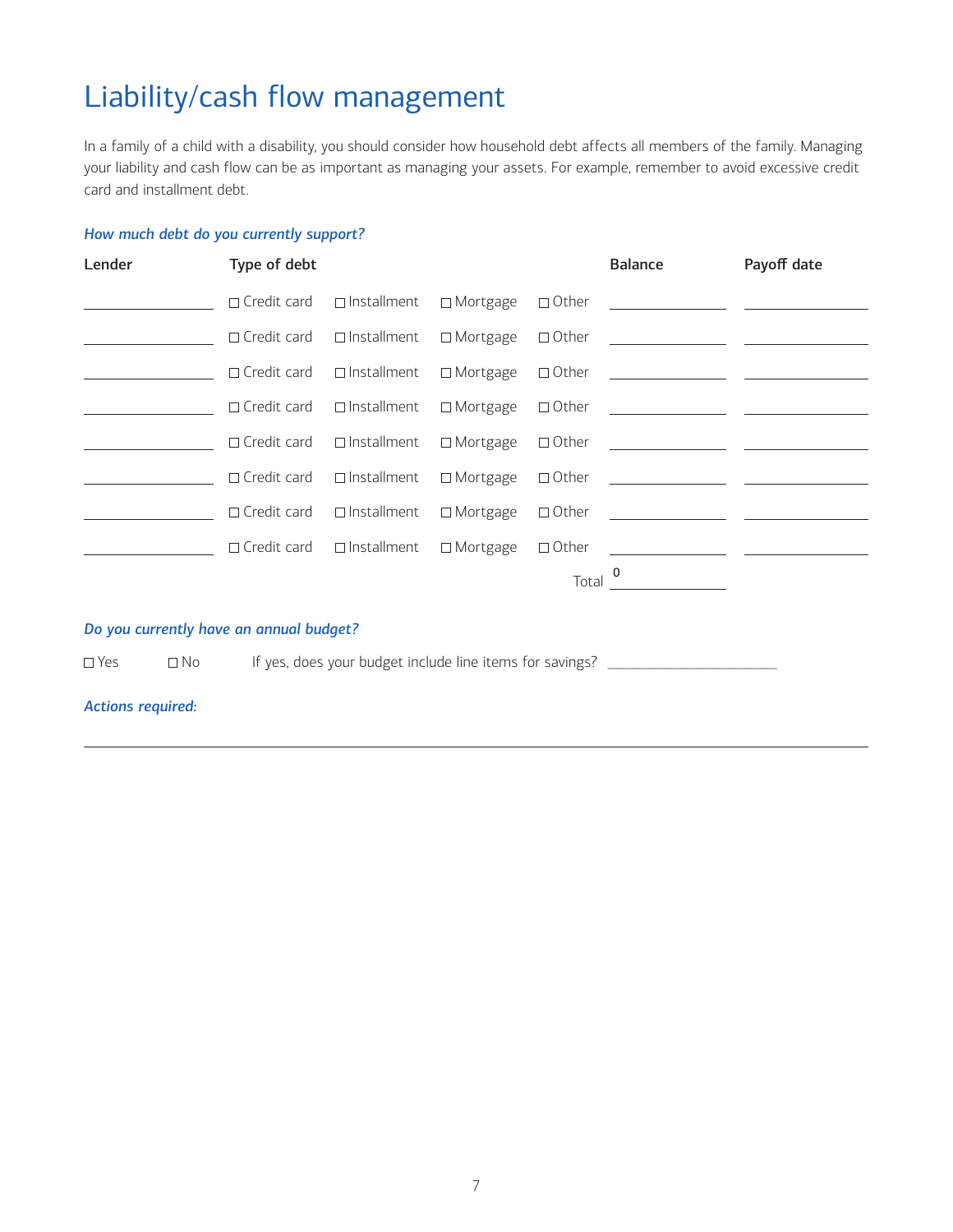### <span id="page-6-0"></span>Liability/cash flow management

In a family of a child with a disability, you should consider how household debt affects all members of the family. Managing your liability and cash flow can be as important as managing your assets. For example, remember to avoid excessive credit card and installment debt.

#### *How much debt do you currently support?*

| Lender | Type of debt |                                                       |              | <b>Balance</b>                                                                                                       | Payoff date |
|--------|--------------|-------------------------------------------------------|--------------|----------------------------------------------------------------------------------------------------------------------|-------------|
|        |              |                                                       |              | □ Credit card □ Installment □ Mortgage □ Other ___________________ _____________                                     |             |
|        |              |                                                       |              | □ Credit card □ Installment □ Mortgage □ Other _________________________________                                     |             |
|        |              |                                                       |              |                                                                                                                      |             |
|        |              |                                                       |              | $\Box$ Credit card $\Box$ Installment $\Box$ Mortgage $\Box$ Other $\Box$                                            |             |
|        |              |                                                       |              | $\Box$ Credit card $\Box$ Installment $\Box$ Mortgage $\Box$ Other $\Box$                                            |             |
|        |              |                                                       |              |                                                                                                                      |             |
|        |              |                                                       |              | $\Box$ Credit card $\Box$ Installment $\Box$ Mortgage $\Box$ Other $\Box$                                            |             |
|        |              | $\Box$ Credit card $\Box$ Installment $\Box$ Mortgage | $\Box$ Other | <u> 1980 - Jan Stein Harry Harry Harry Harry Harry Harry Harry Harry Harry Harry Harry Harry Harry Harry Harry H</u> |             |
|        |              |                                                       | Total        |                                                                                                                      |             |

#### *Do you currently have an annual budget?*

 $\Box$  Yes  $\Box$  No If yes, does your budget include line items for savings?  $\Box$ 

#### *Actions required:*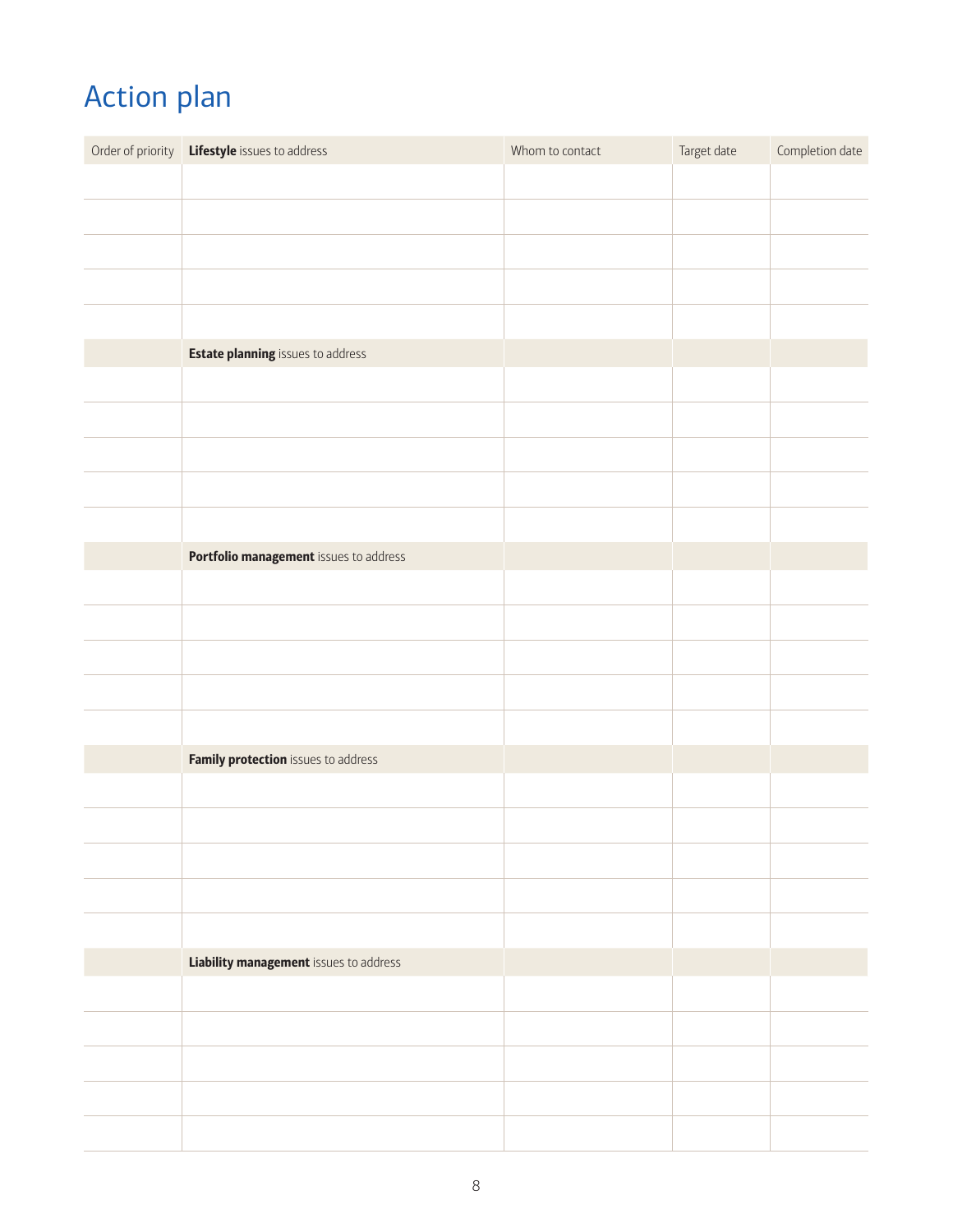## <span id="page-7-0"></span>Action plan

| Order of priority Lifestyle issues to address | Whom to contact | Target date | Completion date |
|-----------------------------------------------|-----------------|-------------|-----------------|
|                                               |                 |             |                 |
|                                               |                 |             |                 |
|                                               |                 |             |                 |
|                                               |                 |             |                 |
|                                               |                 |             |                 |
| <b>Estate planning</b> issues to address      |                 |             |                 |
|                                               |                 |             |                 |
|                                               |                 |             |                 |
|                                               |                 |             |                 |
|                                               |                 |             |                 |
|                                               |                 |             |                 |
| Portfolio management issues to address        |                 |             |                 |
|                                               |                 |             |                 |
|                                               |                 |             |                 |
|                                               |                 |             |                 |
|                                               |                 |             |                 |
|                                               |                 |             |                 |
| Family protection issues to address           |                 |             |                 |
|                                               |                 |             |                 |
|                                               |                 |             |                 |
|                                               |                 |             |                 |
|                                               |                 |             |                 |
|                                               |                 |             |                 |
| <b>Liability management</b> issues to address |                 |             |                 |
|                                               |                 |             |                 |
|                                               |                 |             |                 |
|                                               |                 |             |                 |
|                                               |                 |             |                 |
|                                               |                 |             |                 |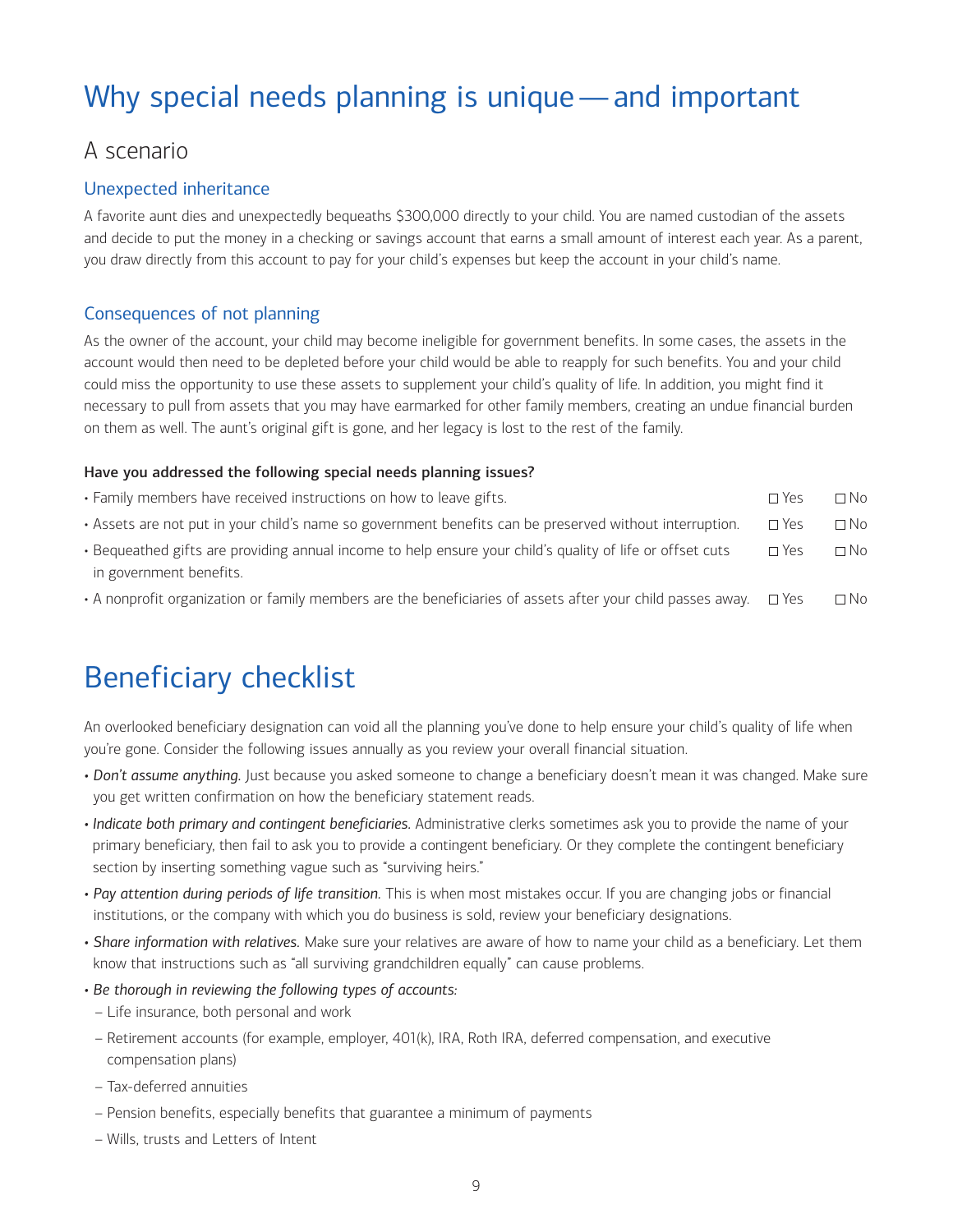### <span id="page-8-0"></span>Why special needs planning is unique—and important

### A scenario

#### Unexpected inheritance

A favorite aunt dies and unexpectedly bequeaths \$300,000 directly to your child. You are named custodian of the assets and decide to put the money in a checking or savings account that earns a small amount of interest each year. As a parent, you draw directly from this account to pay for your child's expenses but keep the account in your child's name.

#### Consequences of not planning

As the owner of the account, your child may become ineligible for government benefits. In some cases, the assets in the account would then need to be depleted before your child would be able to reapply for such benefits. You and your child could miss the opportunity to use these assets to supplement your child's quality of life. In addition, you might find it necessary to pull from assets that you may have earmarked for other family members, creating an undue financial burden on them as well. The aunt's original gift is gone, and her legacy is lost to the rest of the family.

#### Have you addressed the following special needs planning issues?

| • Family members have received instructions on how to leave gifts.                                      | $\sqcap$ Yes | $\Box$ No |
|---------------------------------------------------------------------------------------------------------|--------------|-----------|
| . Assets are not put in your child's name so government benefits can be preserved without interruption. | $\Box$ Yes   | $\Box$ No |

- Bequeathed gifts are providing annual income to help ensure your child's quality of life or offset cuts  $\square$  Yes  $\square$  No in government benefits.
- A nonprofit organization or family members are the beneficiaries of assets after your child passes away.  $\Box$  Yes  $\Box$  No

### Beneficiary checklist

An overlooked beneficiary designation can void all the planning you've done to help ensure your child's quality of life when you're gone. Consider the following issues annually as you review your overall financial situation.

- *Don't assume anything.* Just because you asked someone to change a beneficiary doesn't mean it was changed. Make sure you get written confirmation on how the beneficiary statement reads.
- *Indicate both primary and contingent beneficiaries.* Administrative clerks sometimes ask you to provide the name of your primary beneficiary, then fail to ask you to provide a contingent beneficiary. Or they complete the contingent beneficiary section by inserting something vague such as "surviving heirs."
- *Pay attention during periods of life transition.* This is when most mistakes occur. If you are changing jobs or financial institutions, or the company with which you do business is sold, review your beneficiary designations.
- *Share information with relatives.* Make sure your relatives are aware of how to name your child as a beneficiary. Let them know that instructions such as "all surviving grandchildren equally" can cause problems.
- *Be thorough in reviewing the following types of accounts:*
	- Life insurance, both personal and work
- Retirement accounts (for example, employer, 401(k), IRA, Roth IRA, deferred compensation, and executive compensation plans)
- Tax-deferred annuities
- Pension benefits, especially benefits that guarantee a minimum of payments
- Wills, trusts and Letters of Intent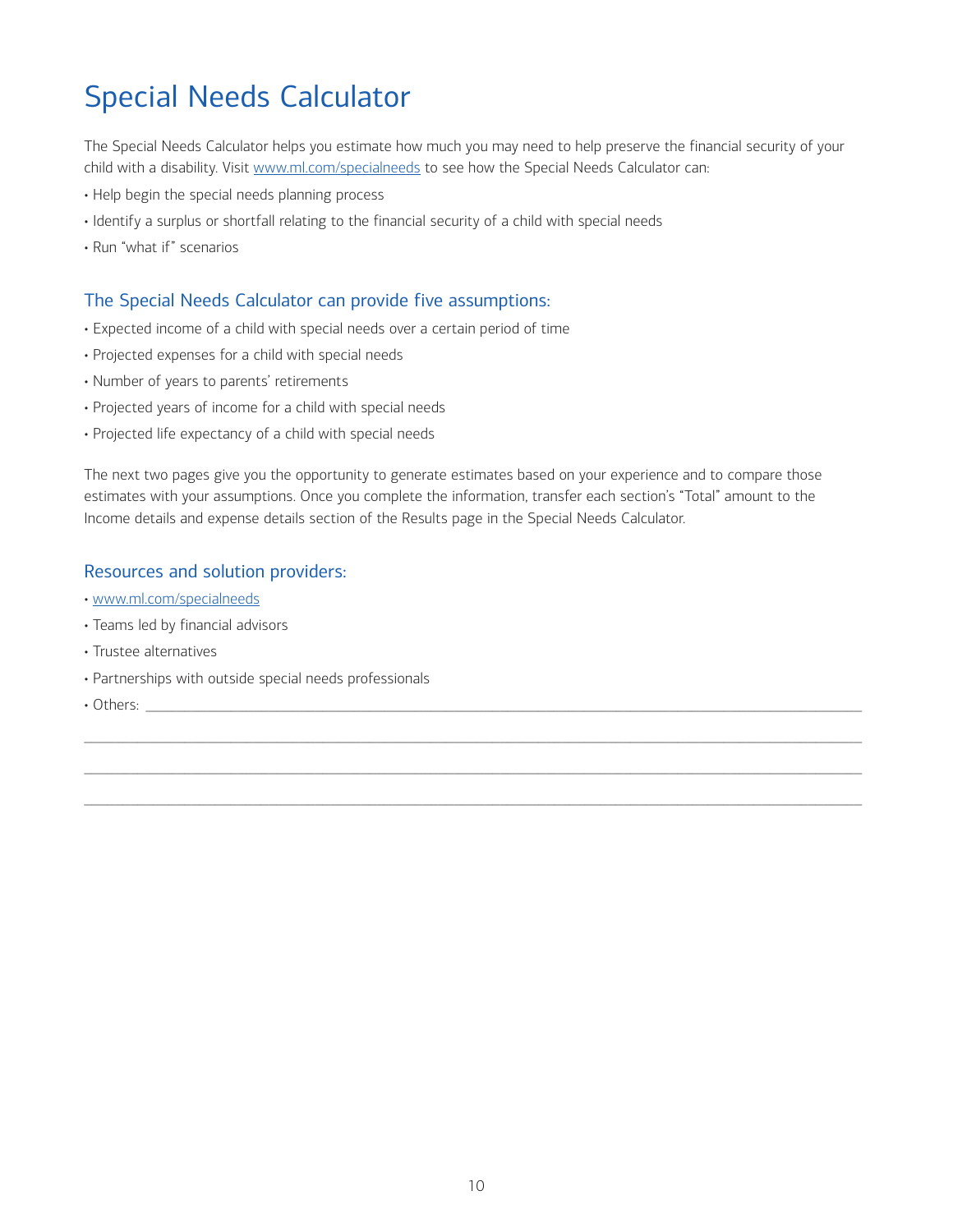### <span id="page-9-0"></span>Special Needs Calculator

The Special Needs Calculator helps you estimate how much you may need to help preserve the financial security of your child with a disability. Visit [www.ml.com/specialneeds](http://www.ml.com/specialneeds) to see how the Special Needs Calculator can:

- Help begin the special needs planning process
- Identify a surplus or shortfall relating to the financial security of a child with special needs
- Run "what if" scenarios

#### The Special Needs Calculator can provide five assumptions:

- Expected income of a child with special needs over a certain period of time
- Projected expenses for a child with special needs
- Number of years to parents' retirements
- Projected years of income for a child with special needs
- Projected life expectancy of a child with special needs

The next two pages give you the opportunity to generate estimates based on your experience and to compare those estimates with your assumptions. Once you complete the information, transfer each section's "Total" amount to the Income details and expense details section of the Results page in the Special Needs Calculator.

\_\_\_\_\_\_\_\_\_\_\_\_\_\_\_\_\_\_\_\_\_\_\_\_\_\_\_\_\_\_\_\_\_\_\_\_\_\_\_\_\_\_\_\_\_\_\_\_\_\_\_\_\_\_\_\_\_\_\_\_\_\_\_\_\_\_\_\_\_\_\_\_\_\_\_\_\_\_\_\_\_\_\_\_\_\_\_\_\_\_\_\_\_\_\_\_\_\_\_\_\_

\_\_\_\_\_\_\_\_\_\_\_\_\_\_\_\_\_\_\_\_\_\_\_\_\_\_\_\_\_\_\_\_\_\_\_\_\_\_\_\_\_\_\_\_\_\_\_\_\_\_\_\_\_\_\_\_\_\_\_\_\_\_\_\_\_\_\_\_\_\_\_\_\_\_\_\_\_\_\_\_\_\_\_\_\_\_\_\_\_\_\_\_\_\_\_\_\_\_\_\_\_

 $\_$  , and the set of the set of the set of the set of the set of the set of the set of the set of the set of the set of the set of the set of the set of the set of the set of the set of the set of the set of the set of th

#### Resources and solution providers:

- • [www.ml.com/specialneeds](http://www.ml.com/specialneeds)
- Teams led by financial advisors
- Trustee alternatives
- Partnerships with outside special needs professionals
- Others: \_\_\_\_\_\_\_\_\_\_\_\_\_\_\_\_\_\_\_\_\_\_\_\_\_\_\_\_\_\_\_\_\_\_\_\_\_\_\_\_\_\_\_\_\_\_\_\_\_\_\_\_\_\_\_\_\_\_\_\_\_\_\_\_\_\_\_\_\_\_\_\_\_\_\_\_\_\_\_\_\_\_\_\_\_\_\_\_\_\_\_\_\_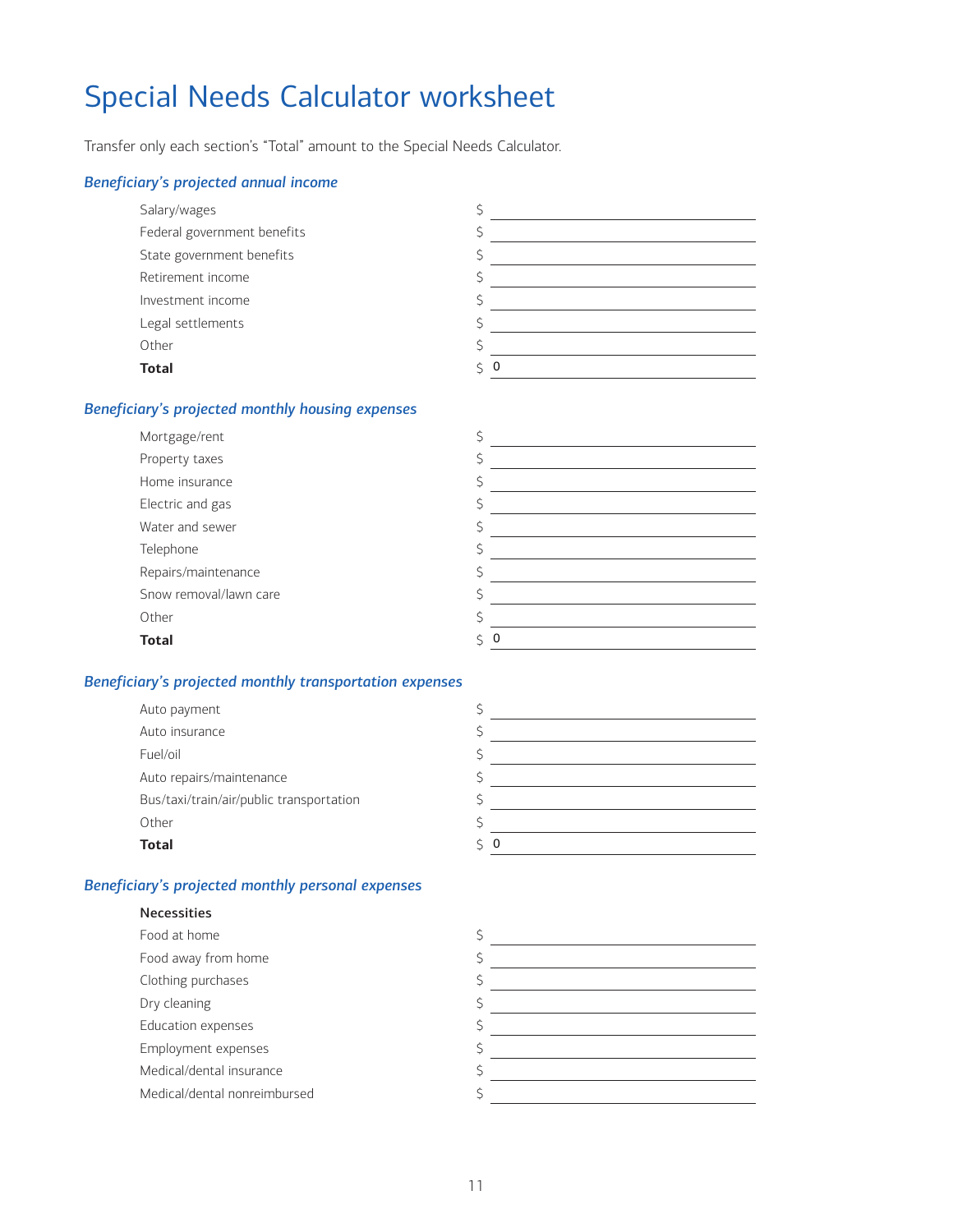### <span id="page-10-0"></span>Special Needs Calculator worksheet

Transfer only each section's "Total" amount to the Special Needs Calculator.

#### *Beneficiary's projected annual income*

| Salary/wages                |   |
|-----------------------------|---|
| Federal government benefits |   |
| State government benefits   |   |
| Retirement income           |   |
| Investment income           |   |
| Legal settlements           |   |
| Other                       |   |
| <b>Total</b>                | 0 |

#### *Beneficiary's projected monthly housing expenses*

| Property taxes<br>Home insurance<br>Electric and gas<br>Water and sewer<br>Telephone<br>Repairs/maintenance<br>Snow removal/lawn care<br>Other<br><b>Total</b><br>0 | Mortgage/rent |  |
|---------------------------------------------------------------------------------------------------------------------------------------------------------------------|---------------|--|
|                                                                                                                                                                     |               |  |
|                                                                                                                                                                     |               |  |
|                                                                                                                                                                     |               |  |
|                                                                                                                                                                     |               |  |
|                                                                                                                                                                     |               |  |
|                                                                                                                                                                     |               |  |
|                                                                                                                                                                     |               |  |
|                                                                                                                                                                     |               |  |
|                                                                                                                                                                     |               |  |

#### *Beneficiary's projected monthly transportation expenses*

| Auto payment                             |           |
|------------------------------------------|-----------|
| Auto insurance                           |           |
| Fuel/oil                                 |           |
| Auto repairs/maintenance                 |           |
| Bus/taxi/train/air/public transportation |           |
| Other                                    |           |
| <b>Total</b>                             | $\zeta$ 0 |
|                                          |           |

#### *Beneficiary's projected monthly personal expenses*

Necessities

#### Food at home \$ Food away from home \$ Clothing purchases  $\sim$  \$  $\sim$ Dry cleaning the state of the state of the state of the state of the state of the state of the state of the state of the state of the state of the state of the state of the state of the state of the state of the state of t Education expenses and the set of the set of the set of the set of the set of the set of the set of the set of the set of the set of the set of the set of the set of the set of the set of the set of the set of the set of t Employment expenses  $\sim$  \$  $\sim$ Medical/dental insurance  $\begin{array}{c} \text{S} \end{array}$ Medical/dental nonreimbursed  $\sim$  \$  $\sim$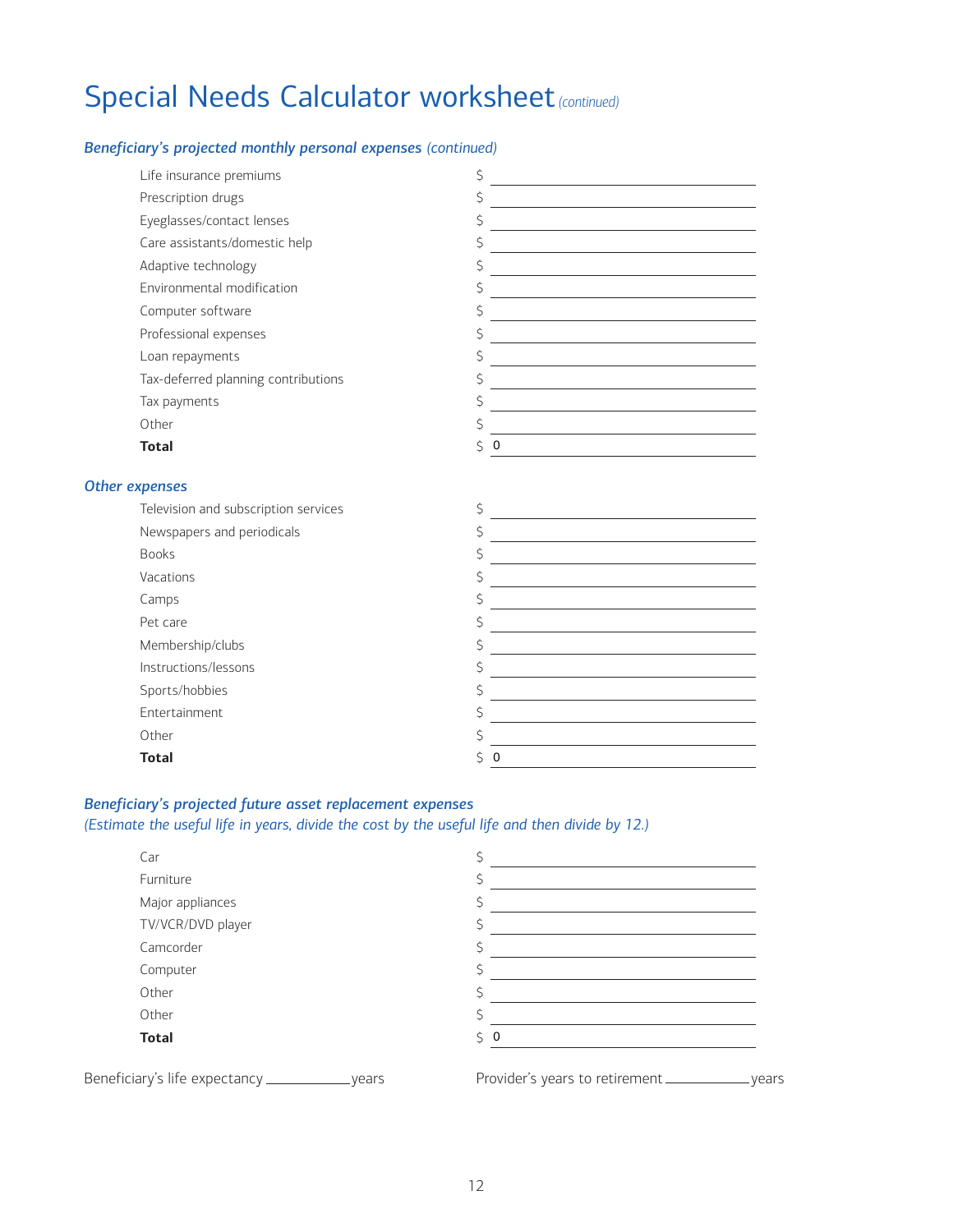### Special Needs Calculator worksheet *(continued)*

#### *Beneficiary's projected monthly personal expenses (continued)*

| Life insurance premiums              | \$                                                                                                                         |
|--------------------------------------|----------------------------------------------------------------------------------------------------------------------------|
| Prescription drugs                   | \$                                                                                                                         |
| Eyeglasses/contact lenses            | \$                                                                                                                         |
| Care assistants/domestic help        | \$<br><u> 1989 - Johann Barn, amerikansk politiker (</u>                                                                   |
| Adaptive technology                  | \$<br><u> 1980 - Johann Barn, mars ann an t-Amhain an t-Amhain an t-Amhain an t-Amhain an t-Amhain an t-Amhain an t-A</u>  |
| Environmental modification           | \$                                                                                                                         |
| Computer software                    | Ś<br><u> 1989 - Johann Barbara, martin amerikan basar dan basa dan basa dan basa dalam basa dalam basa dalam basa dala</u> |
| Professional expenses                | \$<br>the control of the control of the control of the control of the control of the control of                            |
| Loan repayments                      | \$<br>the control of the control of the control of the control of the control of the control of                            |
| Tax-deferred planning contributions  | \$<br><u> 1980 - Johann Barbara, martxa alemaniar amerikan personal (</u>                                                  |
| Tax payments                         | Ś                                                                                                                          |
| Other                                | Ś<br><u> 1989 - Johann Stoff, fransk politik (d. 1989)</u>                                                                 |
| <b>Total</b>                         | \$<br>$\mathbf 0$                                                                                                          |
|                                      |                                                                                                                            |
| expenses                             |                                                                                                                            |
| Television and subscription services | \$<br>the control of the control of the control of the control of the control of the control of                            |
| Newspapers and periodicals           | \$<br><u> 1989 - Johann Barn, amerikansk politiker (</u>                                                                   |
| <b>Books</b>                         | Ś<br><u> 1989 - Johann Barbara, martxa alemaniar a</u>                                                                     |
| Vacations                            | \$                                                                                                                         |
| Camps                                | Ś<br>the control of the control of the control of the control of the control of the control of                             |
| Pet care                             | \$<br><u> 1989 - Johann Stein, marwolaethau a bhann an t-Amhain an t-Amhain an t-Amhain an t-Amhain an t-Amhain an t-A</u> |
| Membership/clubs                     | \$<br>the control of the control of the control of the control of the control of the control of                            |
| Instructions/lessons                 | \$<br><u> 1989 - Johann Stein, marwolaethau a bhann an t-Amhainn an t-Amhainn an t-Amhainn an t-Amhainn an t-Amhainn a</u> |
| Sports/hobbies                       | \$                                                                                                                         |
| Entertainment                        | \$<br><u> 1980 - Johann Barbara, martin din bashkar (</u>                                                                  |
| Other                                | Ś                                                                                                                          |
| <b>Total</b>                         | Ś<br>$\mathbf 0$                                                                                                           |

#### *Beneficiary's projected future asset replacement expenses*

*<u>Other</u>* 

#### *(Estimate the useful life in years, divide the cost by the useful life and then divide by 12.)*

| Car                                                 |                                         |
|-----------------------------------------------------|-----------------------------------------|
| Furniture                                           |                                         |
| Major appliances                                    |                                         |
| TV/VCR/DVD player                                   |                                         |
| Camcorder                                           |                                         |
| Computer                                            |                                         |
| Other                                               |                                         |
| Other                                               |                                         |
| <b>Total</b>                                        | Ŝ.<br>-0                                |
| Beneficiary's life expectancy ____________<br>vears | Provider's years to retirement<br>vears |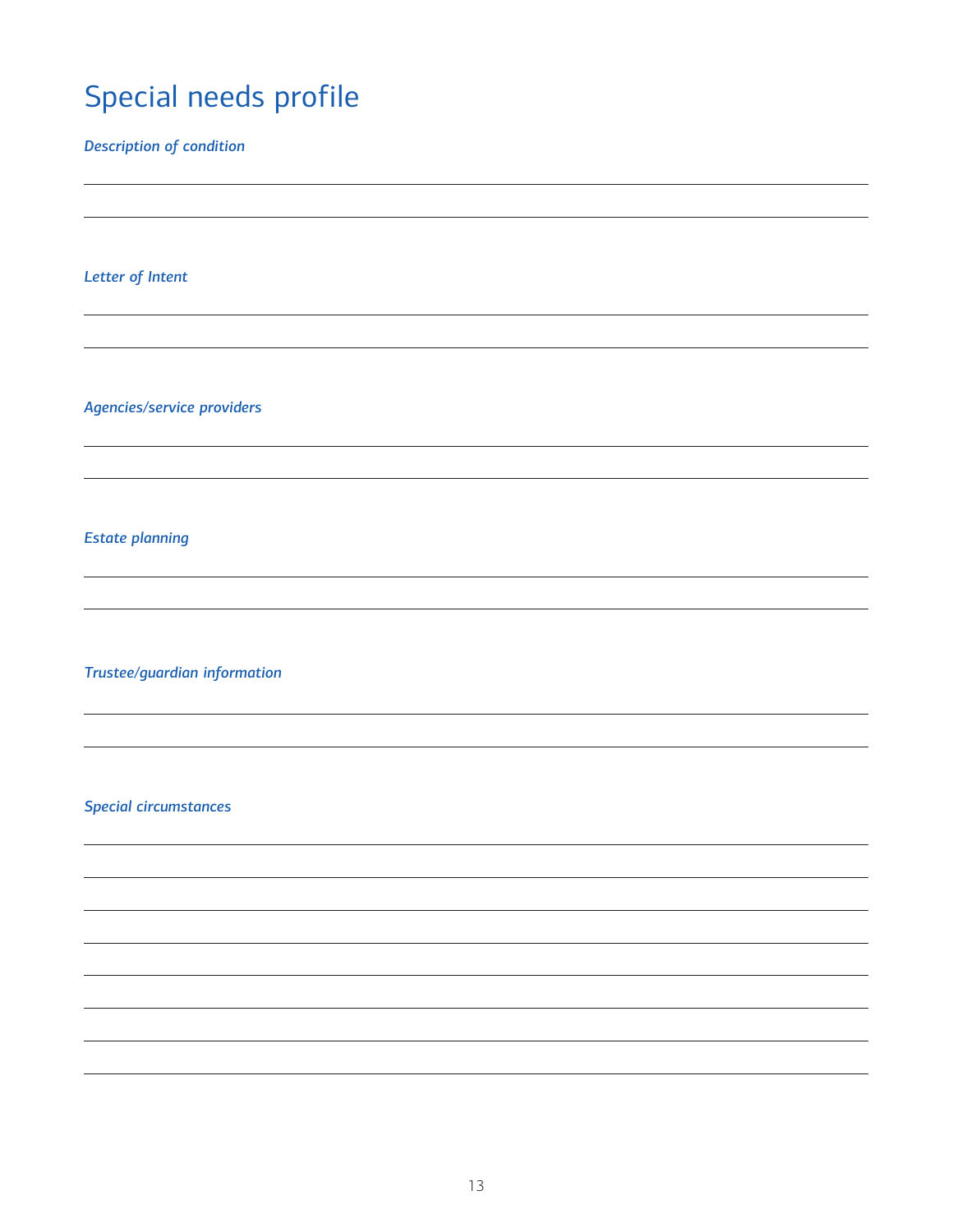### <span id="page-12-0"></span>Special needs profile

*Description of condition*

*Letter of Intent*

*Agencies/service providers*

*Estate planning*

*Trustee/guardian information*

*Special circumstances*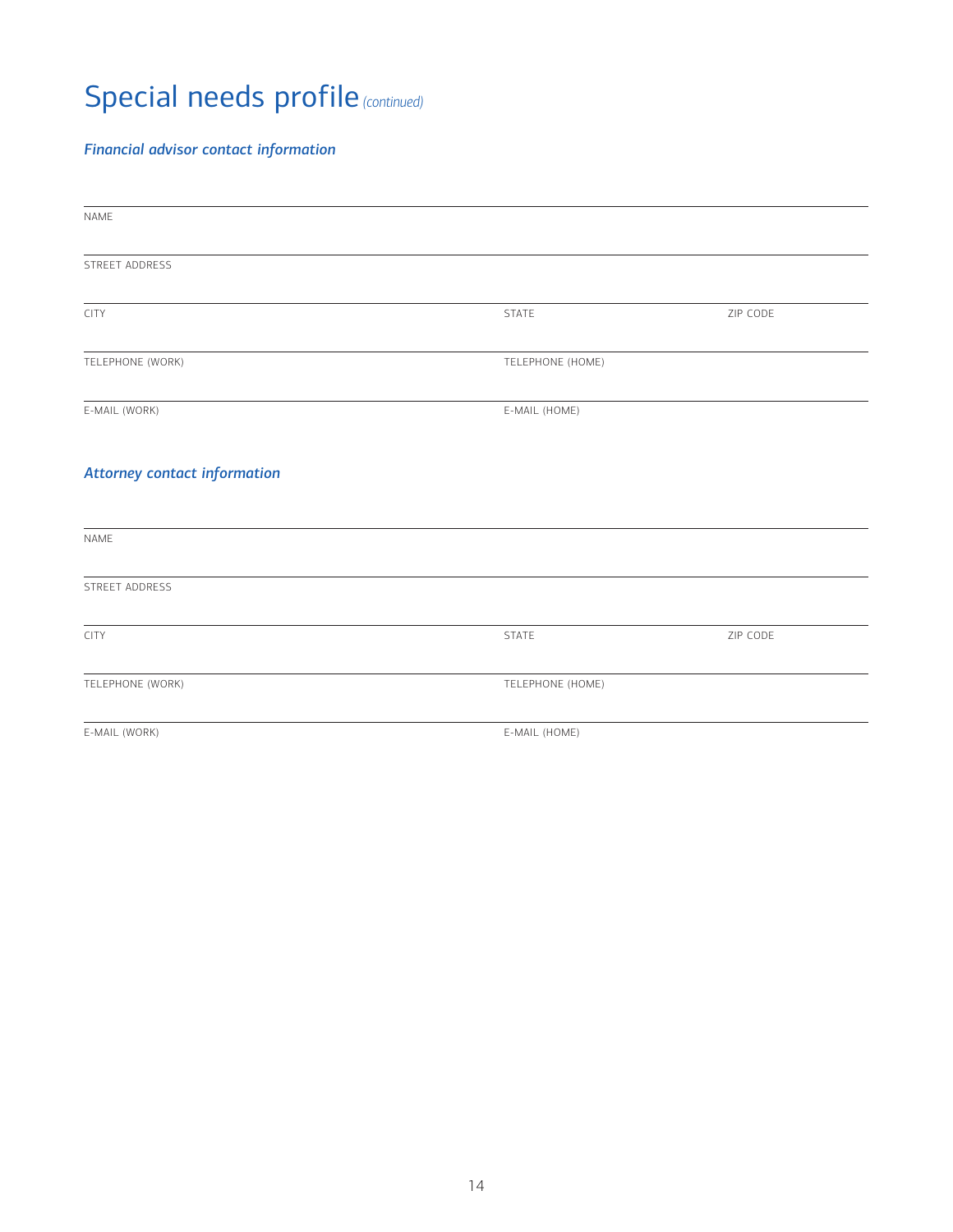## Special needs profile *(continued)*

#### *Financial advisor contact information*

| NAME                                |                  |          |
|-------------------------------------|------------------|----------|
| STREET ADDRESS                      |                  |          |
| CITY                                | <b>STATE</b>     | ZIP CODE |
| TELEPHONE (WORK)                    | TELEPHONE (HOME) |          |
|                                     |                  |          |
| E-MAIL (WORK)                       | E-MAIL (HOME)    |          |
| <b>Attorney contact information</b> |                  |          |
| NAME                                |                  |          |
| STREET ADDRESS                      |                  |          |
| CITY                                | <b>STATE</b>     | ZIP CODE |
| TELEPHONE (WORK)                    | TELEPHONE (HOME) |          |
| E-MAIL (WORK)                       | E-MAIL (HOME)    |          |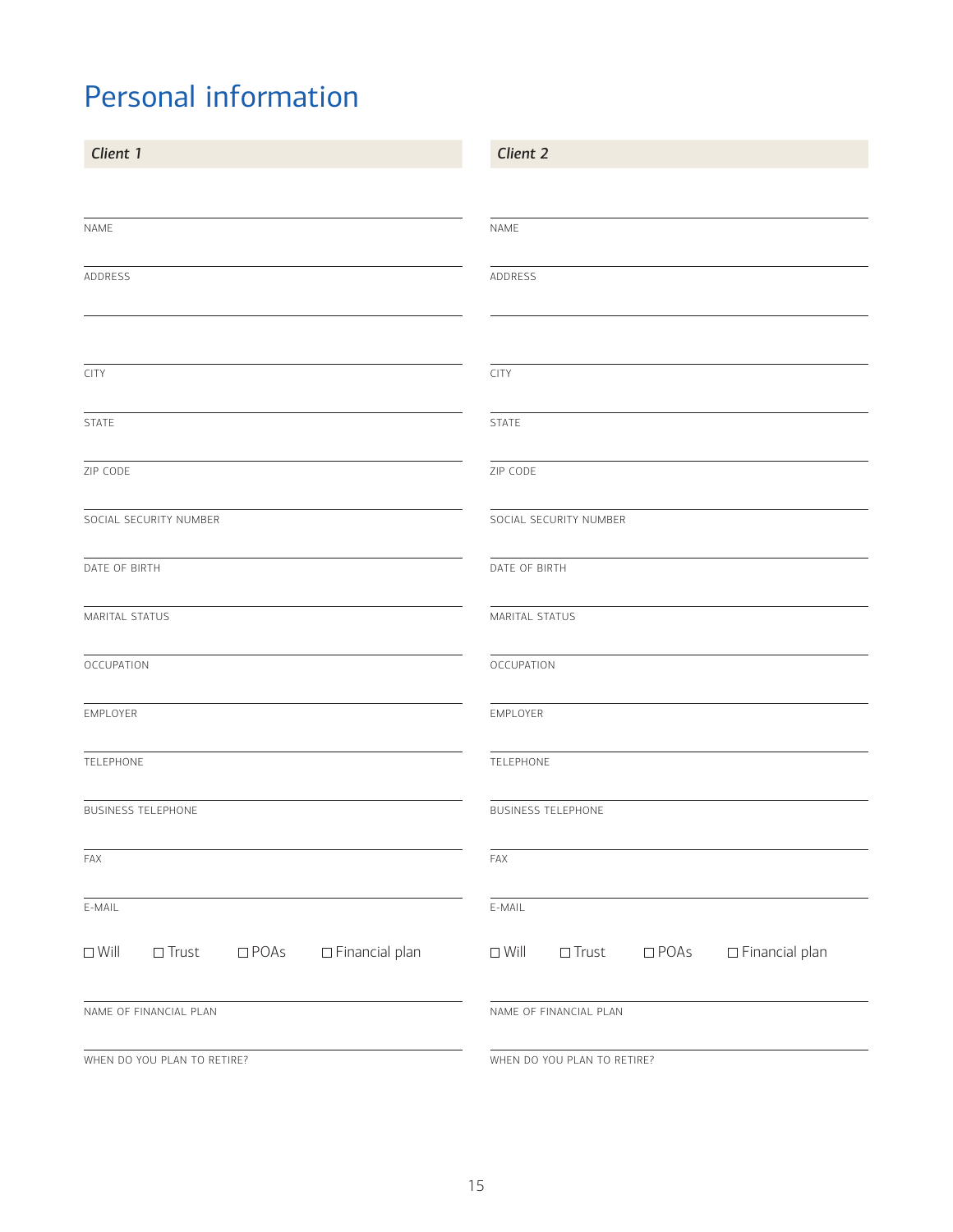### <span id="page-14-0"></span>Personal information

| Client 1                                                                  | Client 2                                                                  |
|---------------------------------------------------------------------------|---------------------------------------------------------------------------|
|                                                                           |                                                                           |
| NAME                                                                      | NAME                                                                      |
| ADDRESS                                                                   | ADDRESS                                                                   |
|                                                                           |                                                                           |
| <b>CITY</b>                                                               | <b>CITY</b>                                                               |
| <b>STATE</b>                                                              | STATE                                                                     |
| ZIP CODE                                                                  | ZIP CODE                                                                  |
| SOCIAL SECURITY NUMBER                                                    | SOCIAL SECURITY NUMBER                                                    |
| DATE OF BIRTH                                                             | DATE OF BIRTH                                                             |
| MARITAL STATUS                                                            | MARITAL STATUS                                                            |
| OCCUPATION                                                                | OCCUPATION                                                                |
| EMPLOYER                                                                  | EMPLOYER                                                                  |
| TELEPHONE                                                                 | TELEPHONE                                                                 |
| <b>BUSINESS TELEPHONE</b>                                                 | <b>BUSINESS TELEPHONE</b>                                                 |
| FAX                                                                       | FAX                                                                       |
| E-MAIL                                                                    | E-MAIL                                                                    |
| $\Box$ Financial plan<br>$\Box$<br>Trust<br>$\square$ POAs<br>$\Box$ Will | $\Box$<br>Trust<br>$\Box$ Financial plan<br>$\Box$ POAs<br>$\square$ Will |
| NAME OF FINANCIAL PLAN                                                    | NAME OF FINANCIAL PLAN                                                    |
| WHEN DO YOU PLAN TO RETIRE?                                               | WHEN DO YOU PLAN TO RETIRE?                                               |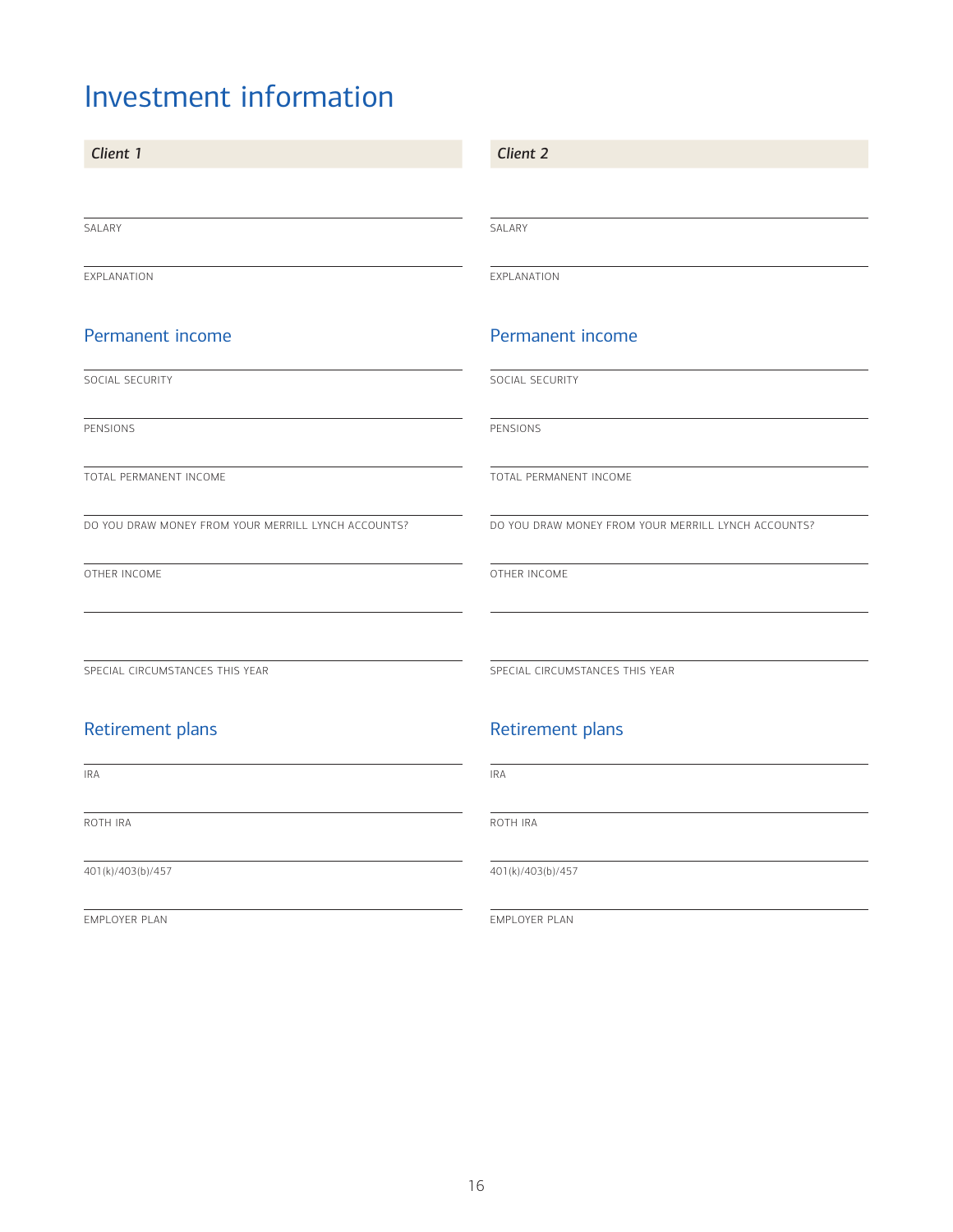### <span id="page-15-0"></span>Investment information

| Client 1                                            | Client 2                                            |
|-----------------------------------------------------|-----------------------------------------------------|
|                                                     |                                                     |
| SALARY                                              | SALARY                                              |
| EXPLANATION                                         | EXPLANATION                                         |
| <b>Permanent income</b>                             | Permanent income                                    |
| SOCIAL SECURITY                                     | SOCIAL SECURITY                                     |
| PENSIONS                                            | PENSIONS                                            |
| TOTAL PERMANENT INCOME                              | TOTAL PERMANENT INCOME                              |
| DO YOU DRAW MONEY FROM YOUR MERRILL LYNCH ACCOUNTS? | DO YOU DRAW MONEY FROM YOUR MERRILL LYNCH ACCOUNTS? |
| OTHER INCOME                                        | OTHER INCOME                                        |
|                                                     |                                                     |
| SPECIAL CIRCUMSTANCES THIS YEAR                     | SPECIAL CIRCUMSTANCES THIS YEAR                     |
| Retirement plans                                    | Retirement plans                                    |
| <b>IRA</b>                                          | <b>IRA</b>                                          |
| ROTH IRA                                            | ROTH IRA                                            |
| 401(k)/403(b)/457                                   | 401(k)/403(b)/457                                   |

EMPLOYER PLAN

EMPLOYER PLAN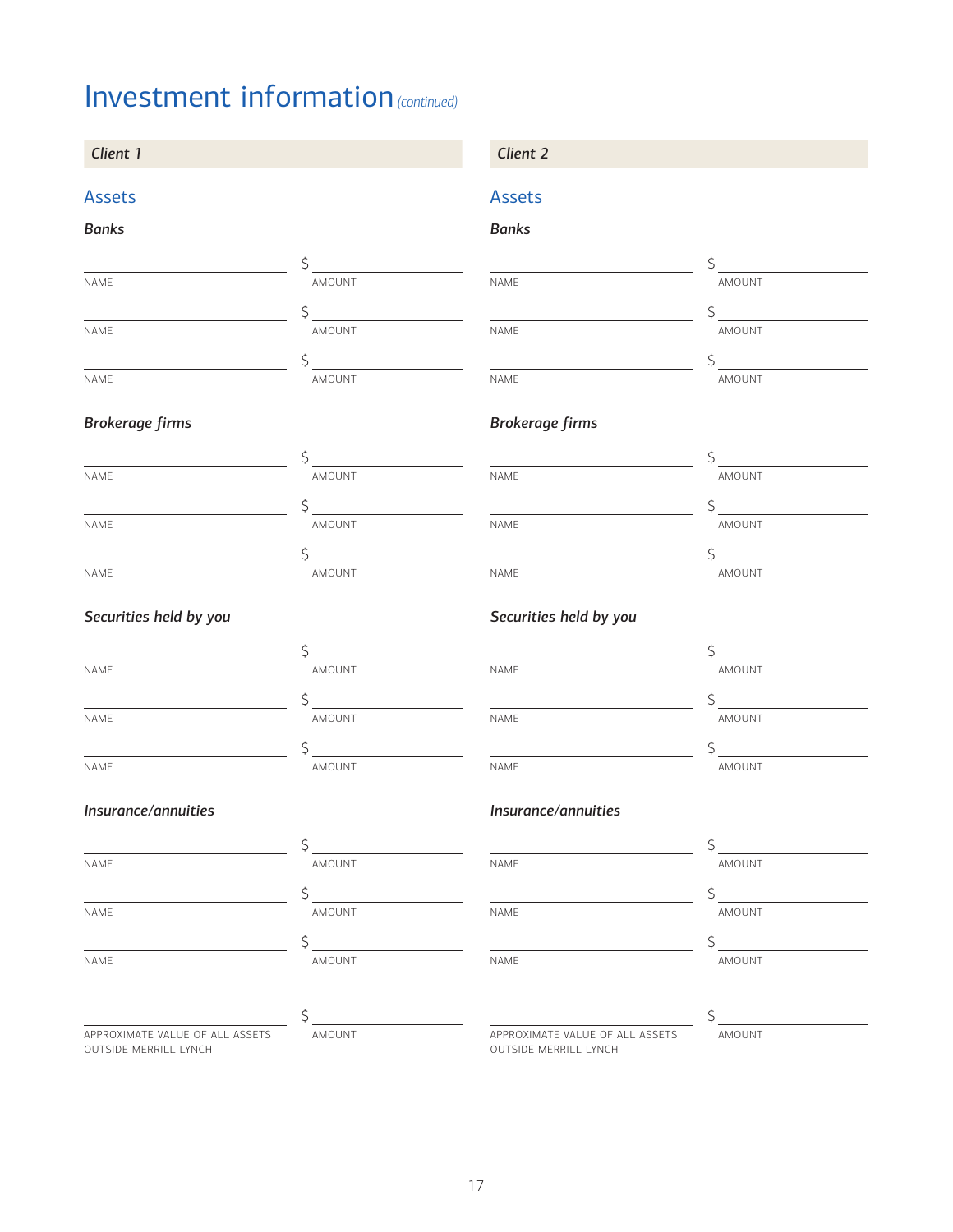### Investment information *(continued)*

#### *Client 1 Client 2*

### Assets

#### *Banks*

| <b>NAME</b> | AMOUNT |
|-------------|--------|
|             |        |
| <b>NAME</b> | AMOUNT |
|             |        |
| <b>NAME</b> | AMOUNT |

#### *Brokerage firms*

| <b>NAME</b> | AMOUNT |
|-------------|--------|
|             |        |
| <b>NAME</b> | AMOUNT |
|             |        |
| <b>NAME</b> | AMOUNT |

#### *Securities held by you*

| <b>NAME</b> | AMOUNT |  |
|-------------|--------|--|
|             |        |  |
| <b>NAME</b> | AMOUNT |  |
|             |        |  |
| <b>NAME</b> | AMOUNT |  |

#### *Insurance/annuities*

OUTSIDE MERRILL LYNCH

| <b>NAME</b>                     | AMOUNT | NAME                            | AMOUNT |  |
|---------------------------------|--------|---------------------------------|--------|--|
|                                 |        |                                 |        |  |
| NAME                            | AMOUNT | NAME                            | AMOUNT |  |
|                                 |        |                                 |        |  |
| NAME                            | AMOUNT | NAME                            | AMOUNT |  |
|                                 |        |                                 |        |  |
|                                 |        |                                 |        |  |
| APPROXIMATE VALUE OF ALL ASSETS | AMOUNT | APPROXIMATE VALUE OF ALL ASSETS | AMOUNT |  |

#### Assets

#### *Banks*

| <b>NAME</b> | AMOUNT |
|-------------|--------|
|             |        |
| <b>NAME</b> | AMOUNT |
|             |        |
| <b>NAME</b> | AMOUNT |

#### *Brokerage firms*

| NAME        | AMOUNT |
|-------------|--------|
|             |        |
| <b>NAME</b> | AMOUNT |
|             |        |
| NAME        | AMOUNT |

#### *Securities held by you*

| <b>NAME</b> | AMOUNT        |
|-------------|---------------|
|             |               |
| <b>NAME</b> | AMOUNT        |
|             |               |
| <b>NAME</b> | <b>AMOUNT</b> |

#### *Insurance/annuities*

| AME | AMOUNT |
|-----|--------|
|     |        |
| AME | AMOUNT |
|     |        |
| AME | AMOUNT |
|     |        |
|     |        |

OUTSIDE MERRILL LYNCH